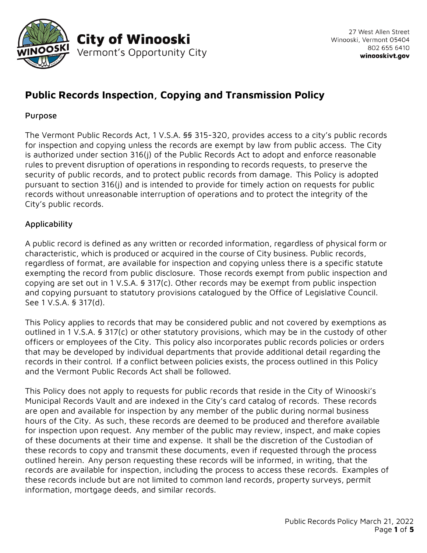

# **Public Records Inspection, Copying and Transmission Policy**

## Purpose

The Vermont Public Records Act, 1 V.S.A. §§ 315-320, provides access to a city's public records for inspection and copying unless the records are exempt by law from public access. The City is authorized under section 316(j) of the Public Records Act to adopt and enforce reasonable rules to prevent disruption of operations in responding to records requests, to preserve the security of public records, and to protect public records from damage. This Policy is adopted pursuant to section 316(j) and is intended to provide for timely action on requests for public records without unreasonable interruption of operations and to protect the integrity of the City's public records.

# Applicability

A public record is defined as any written or recorded information, regardless of physical form or characteristic, which is produced or acquired in the course of City business. Public records, regardless of format, are available for inspection and copying unless there is a specific statute exempting the record from public disclosure. Those records exempt from public inspection and copying are set out in 1 V.S.A. § 317(c). Other records may be exempt from public inspection and copying pursuant to statutory provisions catalogued by the Office of Legislative Council. See 1 V.S.A. § 317(d).

This Policy applies to records that may be considered public and not covered by exemptions as outlined in 1 V.S.A. § 317(c) or other statutory provisions, which may be in the custody of other officers or employees of the City. This policy also incorporates public records policies or orders that may be developed by individual departments that provide additional detail regarding the records in their control. If a conflict between policies exists, the process outlined in this Policy and the Vermont Public Records Act shall be followed.

This Policy does not apply to requests for public records that reside in the City of Winooski's Municipal Records Vault and are indexed in the City's card catalog of records. These records are open and available for inspection by any member of the public during normal business hours of the City. As such, these records are deemed to be produced and therefore available for inspection upon request. Any member of the public may review, inspect, and make copies of these documents at their time and expense. It shall be the discretion of the Custodian of these records to copy and transmit these documents, even if requested through the process outlined herein. Any person requesting these records will be informed, in writing, that the records are available for inspection, including the process to access these records. Examples of these records include but are not limited to common land records, property surveys, permit information, mortgage deeds, and similar records.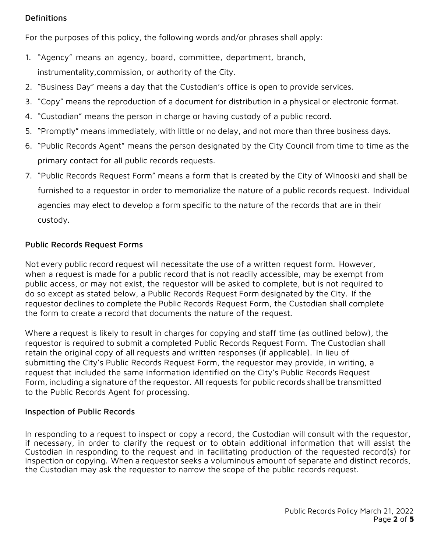#### Definitions

For the purposes of this policy, the following words and/or phrases shall apply:

- 1. "Agency" means an agency, board, committee, department, branch, instrumentality,commission, or authority of the City.
- 2. "Business Day" means a day that the Custodian's office is open to provide services.
- 3. "Copy" means the reproduction of a document for distribution in a physical or electronic format.
- 4. "Custodian" means the person in charge or having custody of a public record.
- 5. "Promptly" means immediately, with little or no delay, and not more than three business days.
- 6. "Public Records Agent" means the person designated by the City Council from time to time as the primary contact for all public records requests.
- 7. "Public Records Request Form" means a form that is created by the City of Winooski and shall be furnished to a requestor in order to memorialize the nature of a public records request. Individual agencies may elect to develop a form specific to the nature of the records that are in their custody.

## Public Records Request Forms

Not every public record request will necessitate the use of a written request form. However, when a request is made for a public record that is not readily accessible, may be exempt from public access, or may not exist, the requestor will be asked to complete, but is not required to do so except as stated below, a Public Records Request Form designated by the City. If the requestor declines to complete the Public Records Request Form, the Custodian shall complete the form to create a record that documents the nature of the request.

Where a request is likely to result in charges for copying and staff time (as outlined below), the requestor is required to submit a completed Public Records Request Form. The Custodian shall retain the original copy of all requests and written responses (if applicable). In lieu of submitting the City's Public Records Request Form, the requestor may provide, in writing, a request that included the same information identified on the City's Public Records Request Form, including a signature of the requestor. All requests for public records shall be transmitted to the Public Records Agent for processing.

#### Inspection of Public Records

In responding to a request to inspect or copy a record, the Custodian will consult with the requestor, if necessary, in order to clarify the request or to obtain additional information that will assist the Custodian in responding to the request and in facilitating production of the requested record(s) for inspection or copying. When a requestor seeks a voluminous amount of separate and distinct records, the Custodian may ask the requestor to narrow the scope of the public records request.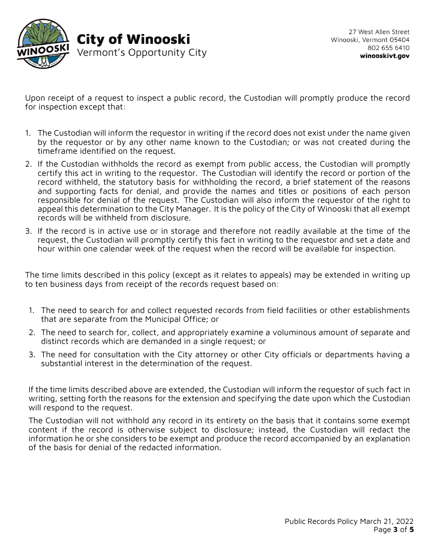

Upon receipt of a request to inspect a public record, the Custodian will promptly produce the record for inspection except that:

- 1. The Custodian will inform the requestor in writing if the record does not exist under the name given by the requestor or by any other name known to the Custodian; or was not created during the timeframe identified on the request.
- 2. If the Custodian withholds the record as exempt from public access, the Custodian will promptly certify this act in writing to the requestor. The Custodian will identify the record or portion of the record withheld, the statutory basis for withholding the record, a brief statement of the reasons and supporting facts for denial, and provide the names and titles or positions of each person responsible for denial of the request. The Custodian will also inform the requestor of the right to appeal this determination to the City Manager. It is the policy of the City of Winooski that all exempt records will be withheld from disclosure.
- 3. If the record is in active use or in storage and therefore not readily available at the time of the request, the Custodian will promptly certify this fact in writing to the requestor and set a date and hour within one calendar week of the request when the record will be available for inspection.

The time limits described in this policy (except as it relates to appeals) may be extended in writing up to ten business days from receipt of the records request based on:

- 1. The need to search for and collect requested records from field facilities or other establishments that are separate from the Municipal Office; or
- 2. The need to search for, collect, and appropriately examine a voluminous amount of separate and distinct records which are demanded in a single request; or
- 3. The need for consultation with the City attorney or other City officials or departments having a substantial interest in the determination of the request.

If the time limits described above are extended, the Custodian will inform the requestor of such fact in writing, setting forth the reasons for the extension and specifying the date upon which the Custodian will respond to the request.

The Custodian will not withhold any record in its entirety on the basis that it contains some exempt content if the record is otherwise subject to disclosure; instead, the Custodian will redact the information he or she considers to be exempt and produce the record accompanied by an explanation of the basis for denial of the redacted information.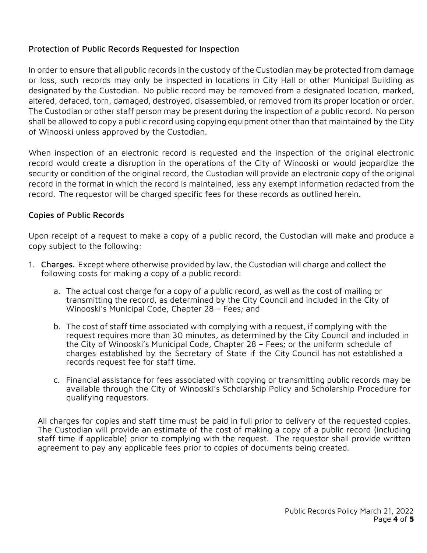#### Protection of Public Records Requested for Inspection

In order to ensure that all public records in the custody of the Custodian may be protected from damage or loss, such records may only be inspected in locations in City Hall or other Municipal Building as designated by the Custodian. No public record may be removed from a designated location, marked, altered, defaced, torn, damaged, destroyed, disassembled, or removed from its proper location or order. The Custodian or other staff person may be present during the inspection of a public record. No person shall be allowed to copy a public record using copying equipment other than that maintained by the City of Winooski unless approved by the Custodian.

When inspection of an electronic record is requested and the inspection of the original electronic record would create a disruption in the operations of the City of Winooski or would jeopardize the security or condition of the original record, the Custodian will provide an electronic copy of the original record in the format in which the record is maintained, less any exempt information redacted from the record. The requestor will be charged specific fees for these records as outlined herein.

## Copies of Public Records

Upon receipt of a request to make a copy of a public record, the Custodian will make and produce a copy subject to the following:

- 1. Charges. Except where otherwise provided by law, the Custodian will charge and collect the following costs for making a copy of a public record:
	- a. The actual cost charge for a copy of a public record, as well as the cost of mailing or transmitting the record, as determined by the City Council and included in the City of Winooski's Municipal Code, Chapter 28 – Fees; and
	- b. The cost of staff time associated with complying with a request, if complying with the request requires more than 30 minutes, as determined by the City Council and included in the City of Winooski's Municipal Code, Chapter 28 – Fees; or the uniform schedule of charges established by the Secretary of State if the City Council has not established a records request fee for staff time.
	- c. Financial assistance for fees associated with copying or transmitting public records may be available through the City of Winooski's Scholarship Policy and Scholarship Procedure for qualifying requestors.

All charges for copies and staff time must be paid in full prior to delivery of the requested copies. The Custodian will provide an estimate of the cost of making a copy of a public record (including staff time if applicable) prior to complying with the request. The requestor shall provide written agreement to pay any applicable fees prior to copies of documents being created.